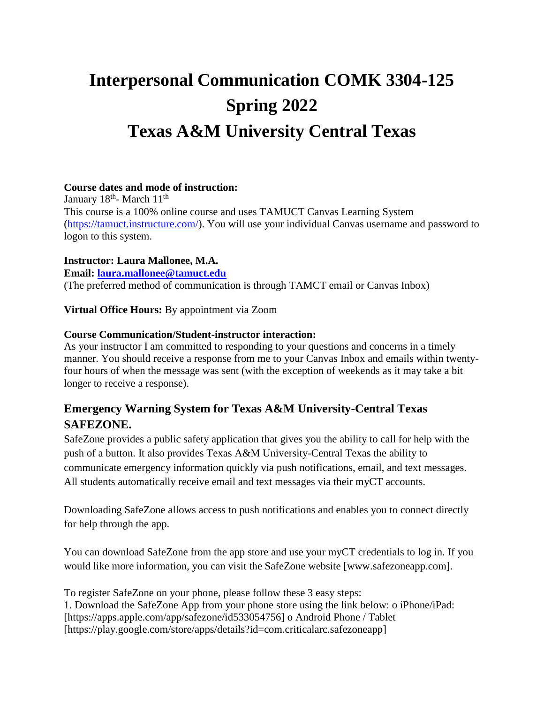# **Interpersonal Communication COMK 3304-125 Spring 2022 Texas A&M University Central Texas**

#### **Course dates and mode of instruction:**

January 18<sup>th</sup>- March 11<sup>th</sup> This course is a 100% online course and uses TAMUCT Canvas Learning System [\(https://tamuct.instructure.com/\)](https://tamuct.instructure.com/). You will use your individual Canvas username and password to logon to this system.

# **Instructor: Laura Mallonee, M.A.**

**Email: [laura.mallonee@tamuct.edu](mailto:laura.mallonee@tamuct.edu)** (The preferred method of communication is through TAMCT email or Canvas Inbox)

**Virtual Office Hours:** By appointment via Zoom

# **Course Communication/Student-instructor interaction:**

As your instructor I am committed to responding to your questions and concerns in a timely manner. You should receive a response from me to your Canvas Inbox and emails within twentyfour hours of when the message was sent (with the exception of weekends as it may take a bit longer to receive a response).

# **Emergency Warning System for Texas A&M University-Central Texas SAFEZONE.**

SafeZone provides a public safety application that gives you the ability to call for help with the push of a button. It also provides Texas A&M University-Central Texas the ability to communicate emergency information quickly via push notifications, email, and text messages. All students automatically receive email and text messages via their myCT accounts.

Downloading SafeZone allows access to push notifications and enables you to connect directly for help through the app.

You can download SafeZone from the app store and use your myCT credentials to log in. If you would like more information, you can visit the SafeZone website [www.safezoneapp.com].

To register SafeZone on your phone, please follow these 3 easy steps: 1. Download the SafeZone App from your phone store using the link below: o iPhone/iPad: [https://apps.apple.com/app/safezone/id533054756] o Android Phone / Tablet [https://play.google.com/store/apps/details?id=com.criticalarc.safezoneapp]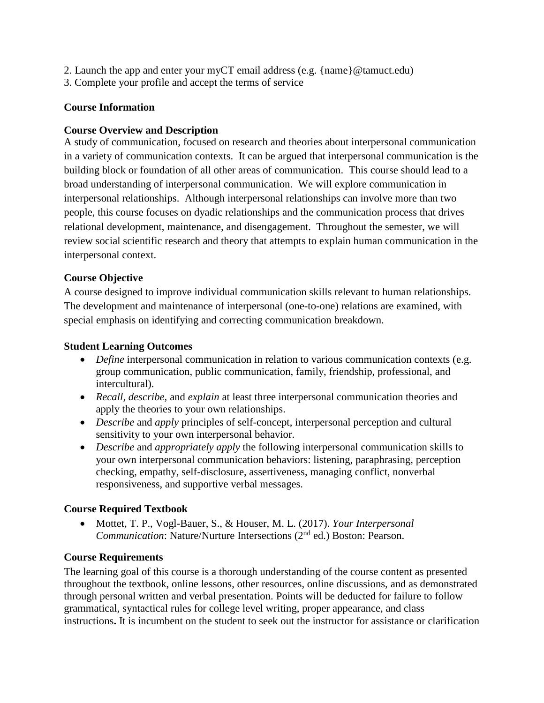- 2. Launch the app and enter your myCT email address (e.g.  $\{\text{name}\}\@{\text{tamuct.edu}}\@$
- 3. Complete your profile and accept the terms of service

# **Course Information**

## **Course Overview and Description**

A study of communication, focused on research and theories about interpersonal communication in a variety of communication contexts. It can be argued that interpersonal communication is the building block or foundation of all other areas of communication. This course should lead to a broad understanding of interpersonal communication. We will explore communication in interpersonal relationships. Although interpersonal relationships can involve more than two people, this course focuses on dyadic relationships and the communication process that drives relational development, maintenance, and disengagement. Throughout the semester, we will review social scientific research and theory that attempts to explain human communication in the interpersonal context.

# **Course Objective**

A course designed to improve individual communication skills relevant to human relationships. The development and maintenance of interpersonal (one-to-one) relations are examined, with special emphasis on identifying and correcting communication breakdown.

# **Student Learning Outcomes**

- *Define* interpersonal communication in relation to various communication contexts (e.g. group communication, public communication, family, friendship, professional, and intercultural).
- *Recall, describe,* and *explain* at least three interpersonal communication theories and apply the theories to your own relationships.
- *Describe* and *apply* principles of self-concept, interpersonal perception and cultural sensitivity to your own interpersonal behavior.
- *Describe* and *appropriately apply* the following interpersonal communication skills to your own interpersonal communication behaviors: listening, paraphrasing, perception checking, empathy, self-disclosure, assertiveness, managing conflict, nonverbal responsiveness, and supportive verbal messages.

# **Course Required Textbook**

 Mottet, T. P., Vogl-Bauer, S., & Houser, M. L. (2017). *Your Interpersonal Communication*: Nature/Nurture Intersections (2<sup>nd</sup> ed.) Boston: Pearson.

#### **Course Requirements**

The learning goal of this course is a thorough understanding of the course content as presented throughout the textbook, online lessons, other resources, online discussions, and as demonstrated through personal written and verbal presentation. Points will be deducted for failure to follow grammatical, syntactical rules for college level writing, proper appearance, and class instructions**.** It is incumbent on the student to seek out the instructor for assistance or clarification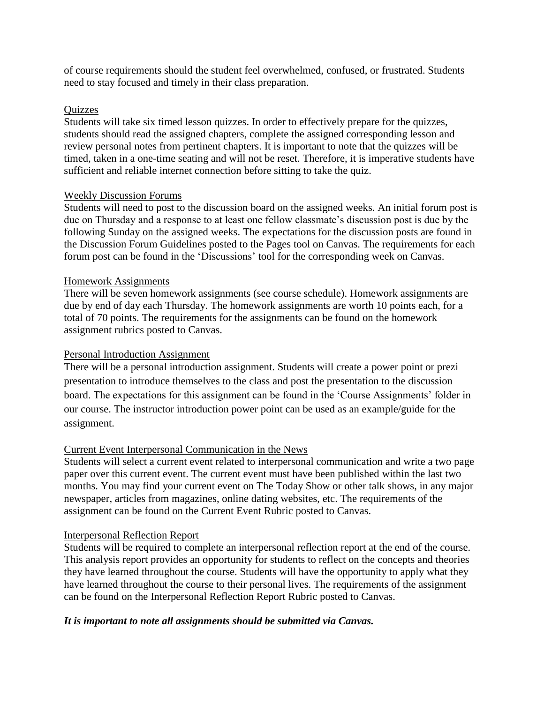of course requirements should the student feel overwhelmed, confused, or frustrated. Students need to stay focused and timely in their class preparation.

#### **Ouizzes**

Students will take six timed lesson quizzes. In order to effectively prepare for the quizzes, students should read the assigned chapters, complete the assigned corresponding lesson and review personal notes from pertinent chapters. It is important to note that the quizzes will be timed, taken in a one-time seating and will not be reset. Therefore, it is imperative students have sufficient and reliable internet connection before sitting to take the quiz.

#### Weekly Discussion Forums

Students will need to post to the discussion board on the assigned weeks. An initial forum post is due on Thursday and a response to at least one fellow classmate's discussion post is due by the following Sunday on the assigned weeks. The expectations for the discussion posts are found in the Discussion Forum Guidelines posted to the Pages tool on Canvas. The requirements for each forum post can be found in the 'Discussions' tool for the corresponding week on Canvas.

#### Homework Assignments

There will be seven homework assignments (see course schedule). Homework assignments are due by end of day each Thursday. The homework assignments are worth 10 points each, for a total of 70 points. The requirements for the assignments can be found on the homework assignment rubrics posted to Canvas.

#### Personal Introduction Assignment

There will be a personal introduction assignment. Students will create a power point or prezi presentation to introduce themselves to the class and post the presentation to the discussion board. The expectations for this assignment can be found in the 'Course Assignments' folder in our course. The instructor introduction power point can be used as an example/guide for the assignment.

#### Current Event Interpersonal Communication in the News

Students will select a current event related to interpersonal communication and write a two page paper over this current event. The current event must have been published within the last two months. You may find your current event on The Today Show or other talk shows, in any major newspaper, articles from magazines, online dating websites, etc. The requirements of the assignment can be found on the Current Event Rubric posted to Canvas.

#### Interpersonal Reflection Report

Students will be required to complete an interpersonal reflection report at the end of the course. This analysis report provides an opportunity for students to reflect on the concepts and theories they have learned throughout the course. Students will have the opportunity to apply what they have learned throughout the course to their personal lives. The requirements of the assignment can be found on the Interpersonal Reflection Report Rubric posted to Canvas.

#### *It is important to note all assignments should be submitted via Canvas.*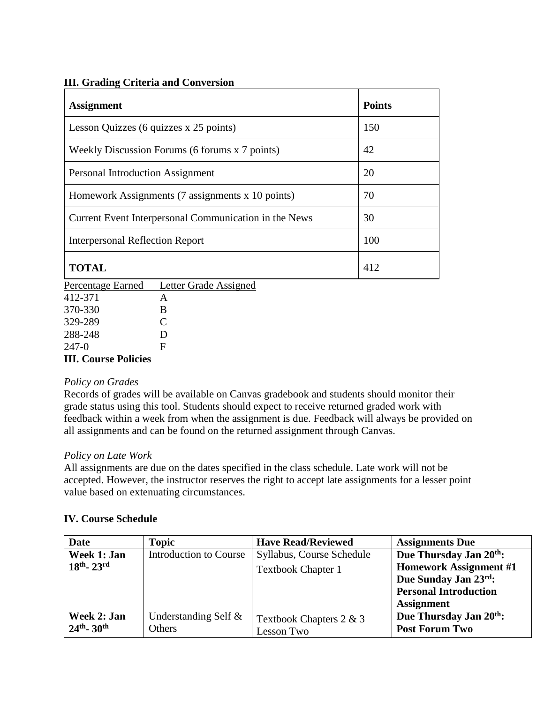#### **III. Grading Criteria and Conversion**

| <b>Assignment</b>                                     | <b>Points</b> |
|-------------------------------------------------------|---------------|
| Lesson Quizzes (6 quizzes x 25 points)                | 150           |
| Weekly Discussion Forums (6 forums x 7 points)        | 42            |
| Personal Introduction Assignment                      | 20            |
| Homework Assignments (7 assignments x 10 points)      | 70            |
| Current Event Interpersonal Communication in the News | 30            |
| <b>Interpersonal Reflection Report</b>                | 100           |
| <b>TOTAL</b>                                          | 412           |

Percentage Earned Letter Grade Assigned

| <b>III. Course Policies</b> |   |
|-----------------------------|---|
| 247-0                       | F |
| 288-248                     | D |
| 329-289                     | C |
| 370-330                     | B |
| 412-371                     | А |
|                             |   |

#### *Policy on Grades*

Records of grades will be available on Canvas gradebook and students should monitor their grade status using this tool. Students should expect to receive returned graded work with feedback within a week from when the assignment is due. Feedback will always be provided on all assignments and can be found on the returned assignment through Canvas.

#### *Policy on Late Work*

All assignments are due on the dates specified in the class schedule. Late work will not be accepted. However, the instructor reserves the right to accept late assignments for a lesser point value based on extenuating circumstances.

#### **IV. Course Schedule**

| Date                      | <b>Topic</b>                  | <b>Have Read/Reviewed</b> | <b>Assignments Due</b>              |
|---------------------------|-------------------------------|---------------------------|-------------------------------------|
| Week 1: Jan               | <b>Introduction to Course</b> | Syllabus, Course Schedule | Due Thursday Jan 20th:              |
| $18th - 23rd$             |                               | <b>Textbook Chapter 1</b> | <b>Homework Assignment #1</b>       |
|                           |                               |                           | Due Sunday Jan 23rd:                |
|                           |                               |                           | <b>Personal Introduction</b>        |
|                           |                               |                           | <b>Assignment</b>                   |
| Week 2: Jan               | Understanding Self &          | Textbook Chapters 2 & 3   | Due Thursday Jan 20 <sup>th</sup> : |
| $24th$ - 30 <sup>th</sup> | <b>Others</b>                 | Lesson Two                | <b>Post Forum Two</b>               |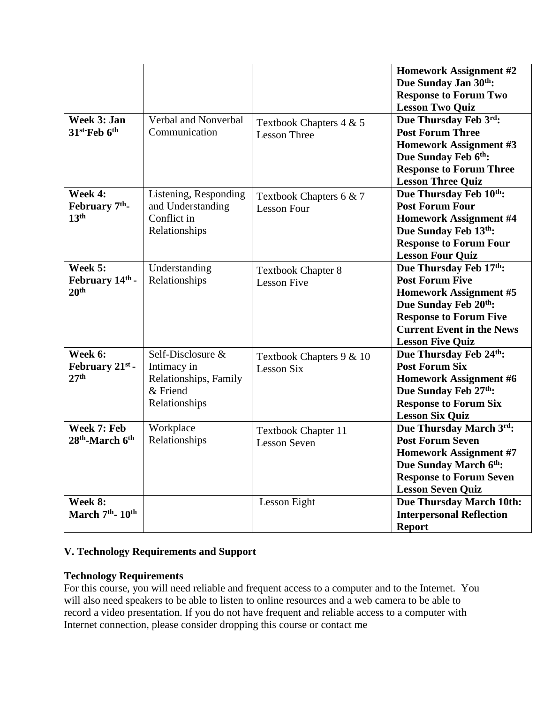| Week 3: Jan<br>31 <sup>st-</sup> Feb 6 <sup>th</sup>      | Verbal and Nonverbal<br>Communication                                                  | Textbook Chapters 4 & 5<br><b>Lesson Three</b>    | <b>Homework Assignment #2</b><br>Due Sunday Jan 30th:<br><b>Response to Forum Two</b><br><b>Lesson Two Quiz</b><br>Due Thursday Feb 3rd:<br><b>Post Forum Three</b><br><b>Homework Assignment #3</b><br>Due Sunday Feb 6th:<br><b>Response to Forum Three</b><br><b>Lesson Three Quiz</b> |
|-----------------------------------------------------------|----------------------------------------------------------------------------------------|---------------------------------------------------|-------------------------------------------------------------------------------------------------------------------------------------------------------------------------------------------------------------------------------------------------------------------------------------------|
| Week 4:<br>February 7 <sup>th</sup> -<br>13 <sup>th</sup> | Listening, Responding<br>and Understanding<br>Conflict in<br>Relationships             | Textbook Chapters 6 & 7<br><b>Lesson Four</b>     | Due Thursday Feb 10th:<br><b>Post Forum Four</b><br><b>Homework Assignment #4</b><br>Due Sunday Feb 13th:<br><b>Response to Forum Four</b><br><b>Lesson Four Quiz</b>                                                                                                                     |
| Week 5:<br>February 14th -<br>20 <sup>th</sup>            | Understanding<br>Relationships                                                         | <b>Textbook Chapter 8</b><br><b>Lesson Five</b>   | Due Thursday Feb 17th:<br><b>Post Forum Five</b><br><b>Homework Assignment #5</b><br>Due Sunday Feb 20th:<br><b>Response to Forum Five</b><br><b>Current Event in the News</b><br><b>Lesson Five Quiz</b>                                                                                 |
| Week 6:<br>February $21^{st}$ -<br>27 <sup>th</sup>       | Self-Disclosure &<br>Intimacy in<br>Relationships, Family<br>& Friend<br>Relationships | Textbook Chapters 9 & 10<br>Lesson Six            | Due Thursday Feb 24th:<br><b>Post Forum Six</b><br><b>Homework Assignment #6</b><br>Due Sunday Feb 27th:<br><b>Response to Forum Six</b><br><b>Lesson Six Quiz</b>                                                                                                                        |
| Week 7: Feb<br>28 <sup>th</sup> -March 6 <sup>th</sup>    | Workplace<br>Relationships                                                             | <b>Textbook Chapter 11</b><br><b>Lesson Seven</b> | Due Thursday March 3rd:<br><b>Post Forum Seven</b><br><b>Homework Assignment #7</b><br>Due Sunday March 6 <sup>th</sup> :<br><b>Response to Forum Seven</b><br><b>Lesson Seven Quiz</b>                                                                                                   |
| Week 8:<br>March 7 <sup>th</sup> -10 <sup>th</sup>        |                                                                                        | Lesson Eight                                      | <b>Due Thursday March 10th:</b><br><b>Interpersonal Reflection</b><br><b>Report</b>                                                                                                                                                                                                       |

# **V. Technology Requirements and Support**

#### **Technology Requirements**

For this course, you will need reliable and frequent access to a computer and to the Internet. You will also need speakers to be able to listen to online resources and a web camera to be able to record a video presentation. If you do not have frequent and reliable access to a computer with Internet connection, please consider dropping this course or contact me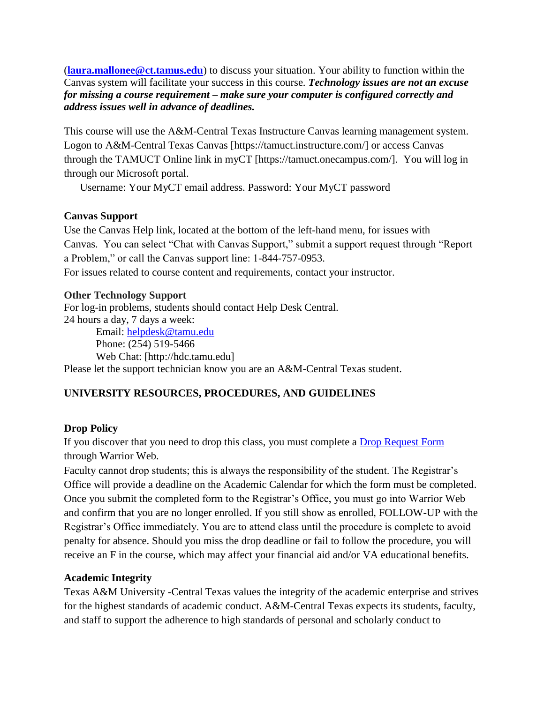(**[laura.mallonee@ct.tamus.edu](mailto:laura.mallonee@ct.tamus.edu)**) to discuss your situation. Your ability to function within the Canvas system will facilitate your success in this course. *Technology issues are not an excuse for missing a course requirement – make sure your computer is configured correctly and address issues well in advance of deadlines.*

This course will use the A&M-Central Texas Instructure Canvas learning management system. Logon to A&M-Central Texas Canvas [https://tamuct.instructure.com/] or access Canvas through the TAMUCT Online link in myCT [https://tamuct.onecampus.com/]. You will log in through our Microsoft portal.

Username: Your MyCT email address. Password: Your MyCT password

#### **Canvas Support**

Use the Canvas Help link, located at the bottom of the left-hand menu, for issues with Canvas. You can select "Chat with Canvas Support," submit a support request through "Report a Problem," or call the Canvas support line: 1-844-757-0953. For issues related to course content and requirements, contact your instructor.

# **Other Technology Support**

For log-in problems, students should contact Help Desk Central. 24 hours a day, 7 days a week: Email: [helpdesk@tamu.edu](mailto:helpdesk@tamu.edu) Phone: (254) 519-5466 Web Chat: [http://hdc.tamu.edu]

Please let the support technician know you are an A&M-Central Texas student.

# **UNIVERSITY RESOURCES, PROCEDURES, AND GUIDELINES**

#### **Drop Policy**

If you discover that you need to drop this class, you must complete a [Drop Request Form](https://dynamicforms.ngwebsolutions.com/casAuthentication.ashx?InstID=eaed95b9-f2be-45f3-a37d-46928168bc10&targetUrl=https%3A%2F%2Fdynamicforms.ngwebsolutions.com%2FSubmit%2FForm%2FStart%2F53b8369e-0502-4f36-be43-f02a4202f612) through Warrior Web.

Faculty cannot drop students; this is always the responsibility of the student. The Registrar's Office will provide a deadline on the Academic Calendar for which the form must be completed. Once you submit the completed form to the Registrar's Office, you must go into Warrior Web and confirm that you are no longer enrolled. If you still show as enrolled, FOLLOW-UP with the Registrar's Office immediately. You are to attend class until the procedure is complete to avoid penalty for absence. Should you miss the drop deadline or fail to follow the procedure, you will receive an F in the course, which may affect your financial aid and/or VA educational benefits.

#### **Academic Integrity**

Texas A&M University -Central Texas values the integrity of the academic enterprise and strives for the highest standards of academic conduct. A&M-Central Texas expects its students, faculty, and staff to support the adherence to high standards of personal and scholarly conduct to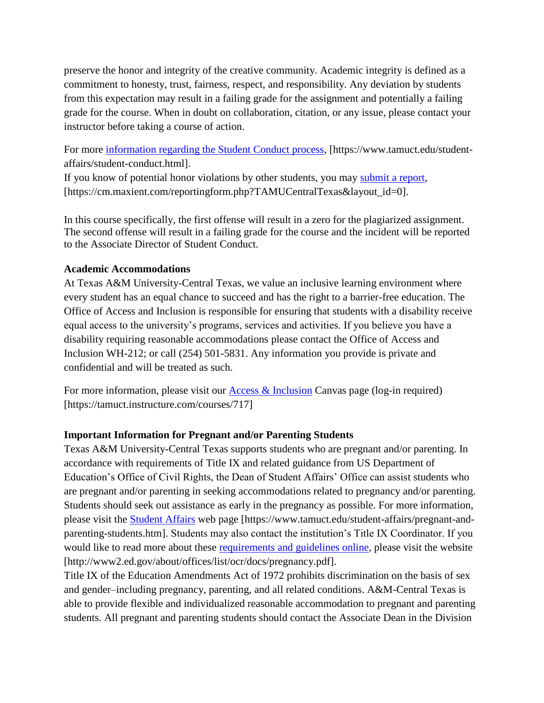preserve the honor and integrity of the creative community. Academic integrity is defined as a commitment to honesty, trust, fairness, respect, and responsibility. Any deviation by students from this expectation may result in a failing grade for the assignment and potentially a failing grade for the course. When in doubt on collaboration, citation, or any issue, please contact your instructor before taking a course of action.

For more [information regarding the Student Conduct process,](https://www.tamuct.edu/student-affairs/student-conduct.html) [https://www.tamuct.edu/studentaffairs/student-conduct.html].

If you know of potential honor violations by other students, you may [submit a report,](https://cm.maxient.com/reportingform.php?TAMUCentralTexas&layout_id=0) [https://cm.maxient.com/reportingform.php?TAMUCentralTexas&layout\_id=0].

In this course specifically, the first offense will result in a zero for the plagiarized assignment. The second offense will result in a failing grade for the course and the incident will be reported to the Associate Director of Student Conduct.

#### **Academic Accommodations**

At Texas A&M University-Central Texas, we value an inclusive learning environment where every student has an equal chance to succeed and has the right to a barrier-free education. The Office of Access and Inclusion is responsible for ensuring that students with a disability receive equal access to the university's programs, services and activities. If you believe you have a disability requiring reasonable accommodations please contact the Office of Access and Inclusion WH-212; or call (254) 501-5831. Any information you provide is private and confidential and will be treated as such.

For more information, please visit our  $\Delta \csc \&$  Inclusion Canvas page (log-in required) [https://tamuct.instructure.com/courses/717]

#### **Important Information for Pregnant and/or Parenting Students**

Texas A&M University-Central Texas supports students who are pregnant and/or parenting. In accordance with requirements of Title IX and related guidance from US Department of Education's Office of Civil Rights, the Dean of Student Affairs' Office can assist students who are pregnant and/or parenting in seeking accommodations related to pregnancy and/or parenting. Students should seek out assistance as early in the pregnancy as possible. For more information, please visit the [Student Affairs](https://www.tamuct.edu/student-affairs/pregnant-and-parenting-students.html) web page [https://www.tamuct.edu/student-affairs/pregnant-andparenting-students.htm]. Students may also contact the institution's Title IX Coordinator. If you would like to read more about these [requirements and guidelines](http://www2.ed.gov/about/offices/list/ocr/docs/pregnancy.pdf) online, please visit the website [http://www2.ed.gov/about/offices/list/ocr/docs/pregnancy.pdf].

Title IX of the Education Amendments Act of 1972 prohibits discrimination on the basis of sex and gender–including pregnancy, parenting, and all related conditions. A&M-Central Texas is able to provide flexible and individualized reasonable accommodation to pregnant and parenting students. All pregnant and parenting students should contact the Associate Dean in the Division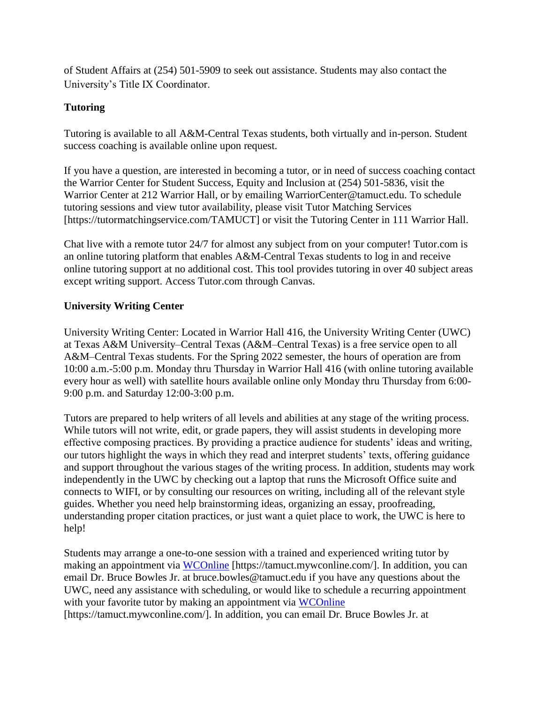of Student Affairs at (254) 501-5909 to seek out assistance. Students may also contact the University's Title IX Coordinator.

# **Tutoring**

Tutoring is available to all A&M-Central Texas students, both virtually and in-person. Student success coaching is available online upon request.

If you have a question, are interested in becoming a tutor, or in need of success coaching contact the Warrior Center for Student Success, Equity and Inclusion at (254) 501-5836, visit the Warrior Center at 212 Warrior Hall, or by emailing WarriorCenter@tamuct.edu. To schedule tutoring sessions and view tutor availability, please visit Tutor Matching Services [https://tutormatchingservice.com/TAMUCT] or visit the Tutoring Center in 111 Warrior Hall.

Chat live with a remote tutor 24/7 for almost any subject from on your computer! Tutor.com is an online tutoring platform that enables A&M-Central Texas students to log in and receive online tutoring support at no additional cost. This tool provides tutoring in over 40 subject areas except writing support. Access Tutor.com through Canvas.

# **University Writing Center**

University Writing Center: Located in Warrior Hall 416, the University Writing Center (UWC) at Texas A&M University–Central Texas (A&M–Central Texas) is a free service open to all A&M–Central Texas students. For the Spring 2022 semester, the hours of operation are from 10:00 a.m.-5:00 p.m. Monday thru Thursday in Warrior Hall 416 (with online tutoring available every hour as well) with satellite hours available online only Monday thru Thursday from 6:00- 9:00 p.m. and Saturday 12:00-3:00 p.m.

Tutors are prepared to help writers of all levels and abilities at any stage of the writing process. While tutors will not write, edit, or grade papers, they will assist students in developing more effective composing practices. By providing a practice audience for students' ideas and writing, our tutors highlight the ways in which they read and interpret students' texts, offering guidance and support throughout the various stages of the writing process. In addition, students may work independently in the UWC by checking out a laptop that runs the Microsoft Office suite and connects to WIFI, or by consulting our resources on writing, including all of the relevant style guides. Whether you need help brainstorming ideas, organizing an essay, proofreading, understanding proper citation practices, or just want a quiet place to work, the UWC is here to help!

Students may arrange a one-to-one session with a trained and experienced writing tutor by making an appointment via [WCOnline](https://tamuct.mywconline.com/) [https://tamuct.mywconline.com/]. In addition, you can email Dr. Bruce Bowles Jr. at bruce.bowles@tamuct.edu if you have any questions about the UWC, need any assistance with scheduling, or would like to schedule a recurring appointment with your favorite tutor by making an appointment via [WCOnline](https://tamuct.mywconline.com/) [https://tamuct.mywconline.com/]. In addition, you can email Dr. Bruce Bowles Jr. at